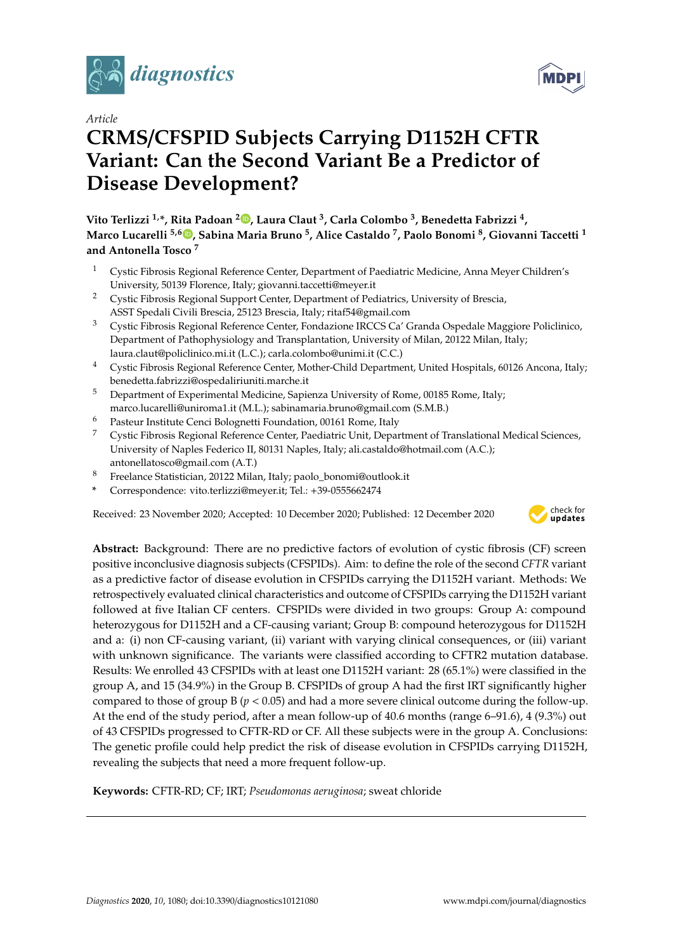

*Article*

# **CRMS**/**CFSPID Subjects Carrying D1152H CFTR Variant: Can the Second Variant Be a Predictor of Disease Development?**

**Vito Terlizzi 1,\*, Rita Padoan <sup>2</sup> [,](https://orcid.org/0000-0002-0624-8125) Laura Claut <sup>3</sup> , Carla Colombo <sup>3</sup> , Benedetta Fabrizzi <sup>4</sup> , Marco Lucarelli 5,6 [,](https://orcid.org/0000-0002-5538-2494) Sabina Maria Bruno <sup>5</sup> , Alice Castaldo <sup>7</sup> , Paolo Bonomi <sup>8</sup> , Giovanni Taccetti <sup>1</sup> and Antonella Tosco <sup>7</sup>**

- <sup>1</sup> Cystic Fibrosis Regional Reference Center, Department of Paediatric Medicine, Anna Meyer Children's University, 50139 Florence, Italy; giovanni.taccetti@meyer.it
- <sup>2</sup> Cystic Fibrosis Regional Support Center, Department of Pediatrics, University of Brescia, ASST Spedali Civili Brescia, 25123 Brescia, Italy; ritaf54@gmail.com
- <sup>3</sup> Cystic Fibrosis Regional Reference Center, Fondazione IRCCS Ca' Granda Ospedale Maggiore Policlinico, Department of Pathophysiology and Transplantation, University of Milan, 20122 Milan, Italy; laura.claut@policlinico.mi.it (L.C.); carla.colombo@unimi.it (C.C.)
- <sup>4</sup> Cystic Fibrosis Regional Reference Center, Mother-Child Department, United Hospitals, 60126 Ancona, Italy; benedetta.fabrizzi@ospedaliriuniti.marche.it
- <sup>5</sup> Department of Experimental Medicine, Sapienza University of Rome, 00185 Rome, Italy; marco.lucarelli@uniroma1.it (M.L.); sabinamaria.bruno@gmail.com (S.M.B.)
- <sup>6</sup> Pasteur Institute Cenci Bolognetti Foundation, 00161 Rome, Italy
- <sup>7</sup> Cystic Fibrosis Regional Reference Center, Paediatric Unit, Department of Translational Medical Sciences, University of Naples Federico II, 80131 Naples, Italy; ali.castaldo@hotmail.com (A.C.); antonellatosco@gmail.com (A.T.)
- <sup>8</sup> Freelance Statistician, 20122 Milan, Italy; paolo\_bonomi@outlook.it
- **\*** Correspondence: vito.terlizzi@meyer.it; Tel.: +39-0555662474

Received: 23 November 2020; Accepted: 10 December 2020; Published: 12 December 2020



**Abstract:** Background: There are no predictive factors of evolution of cystic fibrosis (CF) screen positive inconclusive diagnosis subjects (CFSPIDs). Aim: to define the role of the second *CFTR* variant as a predictive factor of disease evolution in CFSPIDs carrying the D1152H variant. Methods: We retrospectively evaluated clinical characteristics and outcome of CFSPIDs carrying the D1152H variant followed at five Italian CF centers. CFSPIDs were divided in two groups: Group A: compound heterozygous for D1152H and a CF-causing variant; Group B: compound heterozygous for D1152H and a: (i) non CF-causing variant, (ii) variant with varying clinical consequences, or (iii) variant with unknown significance. The variants were classified according to CFTR2 mutation database. Results: We enrolled 43 CFSPIDs with at least one D1152H variant: 28 (65.1%) were classified in the group A, and 15 (34.9%) in the Group B. CFSPIDs of group A had the first IRT significantly higher compared to those of group B ( $p < 0.05$ ) and had a more severe clinical outcome during the follow-up. At the end of the study period, after a mean follow-up of 40.6 months (range 6–91.6), 4 (9.3%) out of 43 CFSPIDs progressed to CFTR-RD or CF. All these subjects were in the group A. Conclusions: The genetic profile could help predict the risk of disease evolution in CFSPIDs carrying D1152H, revealing the subjects that need a more frequent follow-up.

**Keywords:** CFTR-RD; CF; IRT; *Pseudomonas aeruginosa*; sweat chloride

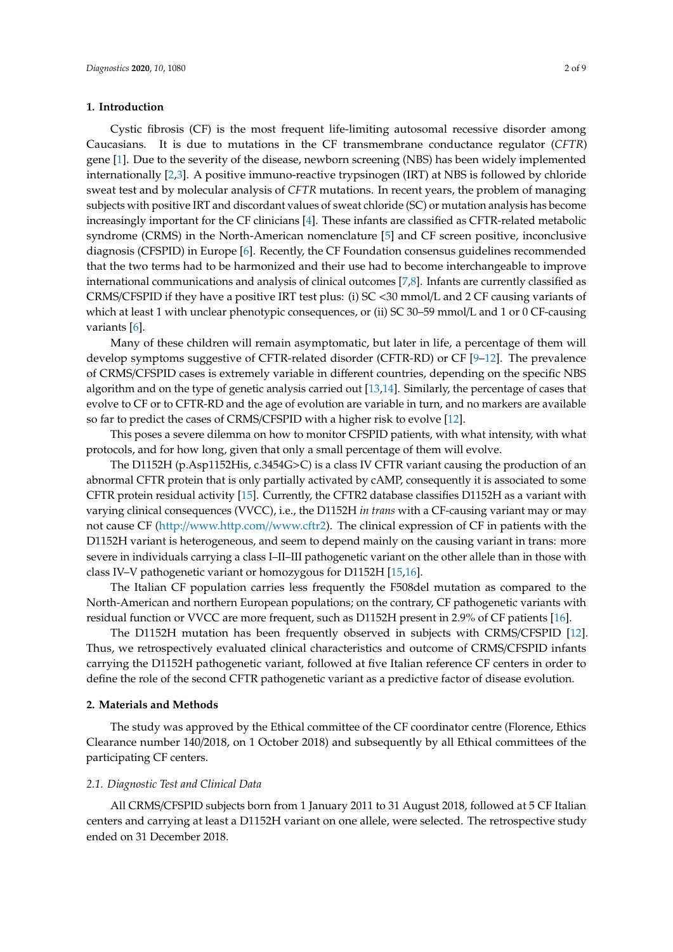## **1. Introduction**

Cystic fibrosis (CF) is the most frequent life-limiting autosomal recessive disorder among Caucasians. It is due to mutations in the CF transmembrane conductance regulator (*CFTR*) gene [\[1\]](#page-6-0). Due to the severity of the disease, newborn screening (NBS) has been widely implemented internationally [\[2](#page-6-1)[,3\]](#page-6-2). A positive immuno-reactive trypsinogen (IRT) at NBS is followed by chloride sweat test and by molecular analysis of *CFTR* mutations. In recent years, the problem of managing subjects with positive IRT and discordant values of sweat chloride (SC) or mutation analysis has become increasingly important for the CF clinicians [\[4\]](#page-6-3). These infants are classified as CFTR-related metabolic syndrome (CRMS) in the North-American nomenclature [\[5\]](#page-6-4) and CF screen positive, inconclusive diagnosis (CFSPID) in Europe [\[6\]](#page-6-5). Recently, the CF Foundation consensus guidelines recommended that the two terms had to be harmonized and their use had to become interchangeable to improve international communications and analysis of clinical outcomes [\[7](#page-6-6)[,8\]](#page-6-7). Infants are currently classified as CRMS/CFSPID if they have a positive IRT test plus: (i) SC <30 mmol/L and 2 CF causing variants of which at least 1 with unclear phenotypic consequences, or (ii) SC 30–59 mmol/L and 1 or 0 CF-causing variants [\[6\]](#page-6-5).

Many of these children will remain asymptomatic, but later in life, a percentage of them will develop symptoms suggestive of CFTR-related disorder (CFTR-RD) or CF [\[9–](#page-6-8)[12\]](#page-7-0). The prevalence of CRMS/CFSPID cases is extremely variable in different countries, depending on the specific NBS algorithm and on the type of genetic analysis carried out [\[13,](#page-7-1)[14\]](#page-7-2). Similarly, the percentage of cases that evolve to CF or to CFTR-RD and the age of evolution are variable in turn, and no markers are available so far to predict the cases of CRMS/CFSPID with a higher risk to evolve [\[12\]](#page-7-0).

This poses a severe dilemma on how to monitor CFSPID patients, with what intensity, with what protocols, and for how long, given that only a small percentage of them will evolve.

The D1152H (p.Asp1152His, c.3454G>C) is a class IV CFTR variant causing the production of an abnormal CFTR protein that is only partially activated by cAMP, consequently it is associated to some CFTR protein residual activity [\[15\]](#page-7-3). Currently, the CFTR2 database classifies D1152H as a variant with varying clinical consequences (VVCC), i.e., the D1152H *in trans* with a CF-causing variant may or may not cause CF (http://[www.http.com](http://www.http.com//www.cftr2)//www.cftr2). The clinical expression of CF in patients with the D1152H variant is heterogeneous, and seem to depend mainly on the causing variant in trans: more severe in individuals carrying a class I–II–III pathogenetic variant on the other allele than in those with class IV–V pathogenetic variant or homozygous for D1152H [\[15,](#page-7-3)[16\]](#page-7-4).

The Italian CF population carries less frequently the F508del mutation as compared to the North-American and northern European populations; on the contrary, CF pathogenetic variants with residual function or VVCC are more frequent, such as D1152H present in 2.9% of CF patients [\[16\]](#page-7-4).

The D1152H mutation has been frequently observed in subjects with CRMS/CFSPID [\[12\]](#page-7-0). Thus, we retrospectively evaluated clinical characteristics and outcome of CRMS/CFSPID infants carrying the D1152H pathogenetic variant, followed at five Italian reference CF centers in order to define the role of the second CFTR pathogenetic variant as a predictive factor of disease evolution.

## **2. Materials and Methods**

The study was approved by the Ethical committee of the CF coordinator centre (Florence, Ethics Clearance number 140/2018, on 1 October 2018) and subsequently by all Ethical committees of the participating CF centers.

### *2.1. Diagnostic Test and Clinical Data*

All CRMS/CFSPID subjects born from 1 January 2011 to 31 August 2018, followed at 5 CF Italian centers and carrying at least a D1152H variant on one allele, were selected. The retrospective study ended on 31 December 2018.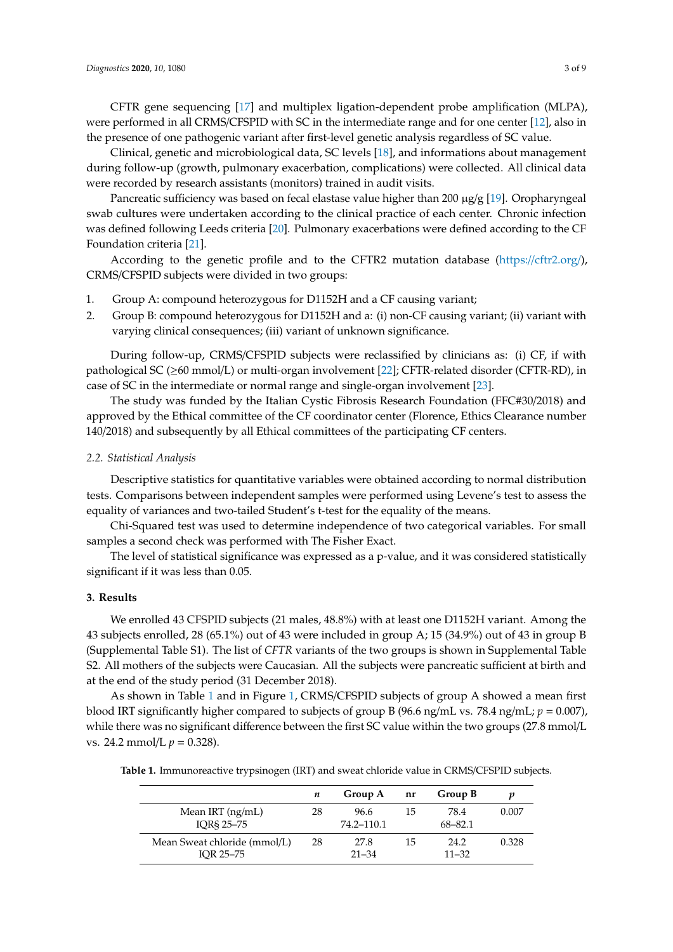CFTR gene sequencing [\[17\]](#page-7-5) and multiplex ligation-dependent probe amplification (MLPA), were performed in all CRMS/CFSPID with SC in the intermediate range and for one center [\[12\]](#page-7-0), also in the presence of one pathogenic variant after first-level genetic analysis regardless of SC value.

Clinical, genetic and microbiological data, SC levels [\[18\]](#page-7-6), and informations about management during follow-up (growth, pulmonary exacerbation, complications) were collected. All clinical data were recorded by research assistants (monitors) trained in audit visits.

Pancreatic sufficiency was based on fecal elastase value higher than 200  $\mu$ g/g [\[19\]](#page-7-7). Oropharyngeal swab cultures were undertaken according to the clinical practice of each center. Chronic infection was defined following Leeds criteria [\[20\]](#page-7-8). Pulmonary exacerbations were defined according to the CF Foundation criteria [\[21\]](#page-7-9).

According to the genetic profile and to the CFTR2 mutation database (https://[cftr2.org](https://cftr2.org/)/), CRMS/CFSPID subjects were divided in two groups:

- 1. Group A: compound heterozygous for D1152H and a CF causing variant;
- 2. Group B: compound heterozygous for D1152H and a: (i) non-CF causing variant; (ii) variant with varying clinical consequences; (iii) variant of unknown significance.

During follow-up, CRMS/CFSPID subjects were reclassified by clinicians as: (i) CF, if with pathological SC ( $\geq 60$  mmol/L) or multi-organ involvement [\[22\]](#page-7-10); CFTR-related disorder (CFTR-RD), in case of SC in the intermediate or normal range and single-organ involvement [\[23\]](#page-7-11).

The study was funded by the Italian Cystic Fibrosis Research Foundation (FFC#30/2018) and approved by the Ethical committee of the CF coordinator center (Florence, Ethics Clearance number 140/2018) and subsequently by all Ethical committees of the participating CF centers.

#### *2.2. Statistical Analysis*

Descriptive statistics for quantitative variables were obtained according to normal distribution tests. Comparisons between independent samples were performed using Levene's test to assess the equality of variances and two-tailed Student's t-test for the equality of the means.

Chi-Squared test was used to determine independence of two categorical variables. For small samples a second check was performed with The Fisher Exact.

The level of statistical significance was expressed as a p-value, and it was considered statistically significant if it was less than 0.05.

## **3. Results**

We enrolled 43 CFSPID subjects (21 males, 48.8%) with at least one D1152H variant. Among the 43 subjects enrolled, 28 (65.1%) out of 43 were included in group A; 15 (34.9%) out of 43 in group B (Supplemental Table S1). The list of *CFTR* variants of the two groups is shown in Supplemental Table S2. All mothers of the subjects were Caucasian. All the subjects were pancreatic sufficient at birth and at the end of the study period (31 December 2018).

As shown in Table [1](#page-2-0) and in Figure [1,](#page-3-0) CRMS/CFSPID subjects of group A showed a mean first blood IRT significantly higher compared to subjects of group B (96.6 ng/mL vs. 78.4 ng/mL; *p* = 0.007), while there was no significant difference between the first SC value within the two groups (27.8 mmol/L vs. 24.2 mmol/L  $p = 0.328$ ).

<span id="page-2-0"></span>**Table 1.** Immunoreactive trypsinogen (IRT) and sweat chloride value in CRMS/CFSPID subjects.

|                                           | п  | Group A            | nr | Group B             | v     |
|-------------------------------------------|----|--------------------|----|---------------------|-------|
| Mean IRT (ng/mL)<br>IOR§ 25-75            | 28 | 96.6<br>74.2–110.1 | 15 | 78.4<br>$68 - 82.1$ | 0.007 |
| Mean Sweat chloride (mmol/L)<br>IOR 25-75 | 28 | 27.8<br>$21 - 34$  | 15 | 24.2<br>$11 - 32$   | 0.328 |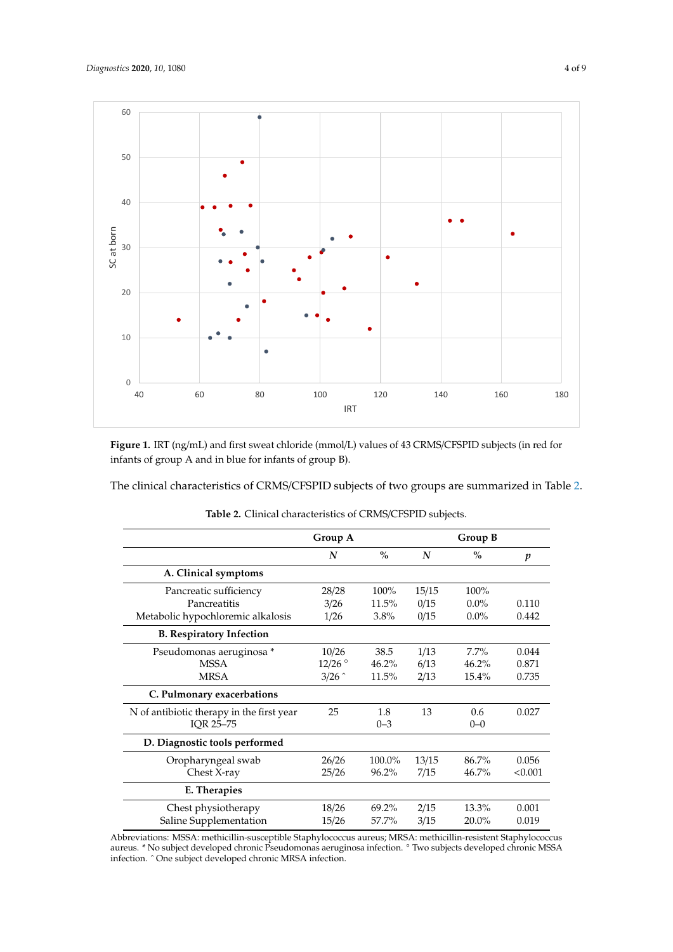<span id="page-3-0"></span>

Figure 1. IRT (ng/mL) and first sweat chloride (mmol/L) values of 43 CRMS/CFSPID subjects (in red for infants of group A and in blue for infants of group B).

<span id="page-3-1"></span>The clinical characteristics of CRMS/CFSPID subjects of two groups are summarized in Table [2.](#page-3-1)

|                                           | Group A   |               | Group B |         |         |
|-------------------------------------------|-----------|---------------|---------|---------|---------|
|                                           | N         | $\frac{0}{0}$ | N       | $\%$    | p       |
| A. Clinical symptoms                      |           |               |         |         |         |
| Pancreatic sufficiency                    | 28/28     | 100%          | 15/15   | 100%    |         |
| Pancreatitis                              | 3/26      | 11.5%         | 0/15    | $0.0\%$ | 0.110   |
| Metabolic hypochloremic alkalosis         | 1/26      | 3.8%          | 0/15    | $0.0\%$ | 0.442   |
| <b>B. Respiratory Infection</b>           |           |               |         |         |         |
| Pseudomonas aeruginosa *                  | 10/26     | 38.5          | 1/13    | $7.7\%$ | 0.044   |
| <b>MSSA</b>                               | $12/26$ ° | 46.2%         | 6/13    | 46.2%   | 0.871   |
| <b>MRSA</b>                               | 3/26      | 11.5%         | 2/13    | 15.4%   | 0.735   |
| C. Pulmonary exacerbations                |           |               |         |         |         |
| N of antibiotic therapy in the first year | 25        | 1.8           | 13      | 0.6     | 0.027   |
| IOR 25-75                                 |           | $0 - 3$       |         | $0 - 0$ |         |
| D. Diagnostic tools performed             |           |               |         |         |         |
| Oropharyngeal swab                        | 26/26     | 100.0%        | 13/15   | 86.7%   | 0.056   |
| Chest X-ray                               | 25/26     | 96.2%         | 7/15    | 46.7%   | < 0.001 |
| E. Therapies                              |           |               |         |         |         |
| Chest physiotherapy                       | 18/26     | 69.2%         | 2/15    | 13.3%   | 0.001   |
| Saline Supplementation                    | 15/26     | 57.7%         | 3/15    | 20.0%   | 0.019   |

**Table 2.** Clinical characteristics of CRMS/CFSPID subjects.

Abbreviations: MSSA: methicillin-susceptible Staphylococcus aureus; MRSA: methicillin-resistent Staphylococcus aureus. \* No subject developed chronic Pseudomonas aeruginosa infection. ◦ Two subjects developed chronic MSSA infection. ˆ One subject developed chronic MRSA infection.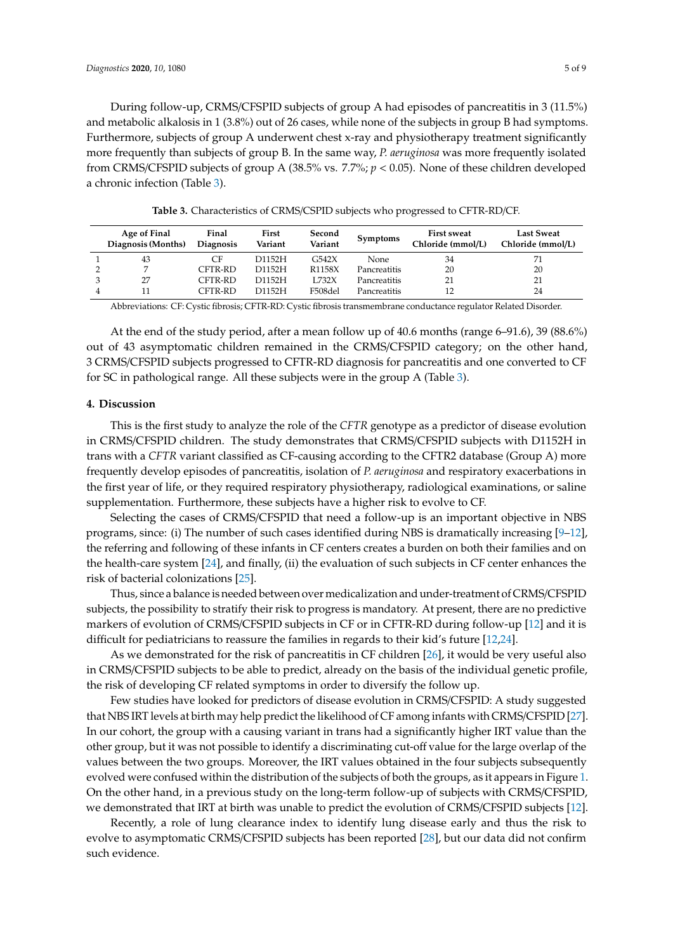During follow-up, CRMS/CFSPID subjects of group A had episodes of pancreatitis in 3 (11.5%) and metabolic alkalosis in 1 (3.8%) out of 26 cases, while none of the subjects in group B had symptoms. Furthermore, subjects of group A underwent chest x-ray and physiotherapy treatment significantly more frequently than subjects of group B. In the same way, *P. aeruginosa* was more frequently isolated from CRMS/CFSPID subjects of group A (38.5% vs. 7.7%; *p* < 0.05). None of these children developed a chronic infection (Table [3\)](#page-4-0).

<span id="page-4-0"></span>

| Age of Final<br>Diagnosis (Months) | Final<br><b>Diagnosis</b> | First<br>Variant | Second<br>Variant | <b>Symptoms</b>     | <b>First sweat</b><br>Chloride (mmol/L) | <b>Last Sweat</b><br>Chloride (mmol/L) |
|------------------------------------|---------------------------|------------------|-------------------|---------------------|-----------------------------------------|----------------------------------------|
| 43                                 | CF                        | D1152H           | G542X             | <b>None</b>         | 34                                      |                                        |
| ⇁                                  | CFTR-RD                   | D1152H           | R1158X            | Pancreatitis        | 20                                      | 20                                     |
| 27                                 | CFTR-RD                   | D1152H           | L732X             | Pancreatitis        |                                         | 21                                     |
|                                    | CFTR-RD                   | D1152H           | F508del           | <b>Pancreatitis</b> |                                         | 24                                     |

**Table 3.** Characteristics of CRMS/CSPID subjects who progressed to CFTR-RD/CF.

Abbreviations: CF: Cystic fibrosis; CFTR-RD: Cystic fibrosis transmembrane conductance regulator Related Disorder.

At the end of the study period, after a mean follow up of 40.6 months (range 6–91.6), 39 (88.6%) out of 43 asymptomatic children remained in the CRMS/CFSPID category; on the other hand, 3 CRMS/CFSPID subjects progressed to CFTR-RD diagnosis for pancreatitis and one converted to CF for SC in pathological range. All these subjects were in the group A (Table [3\)](#page-4-0).

## **4. Discussion**

This is the first study to analyze the role of the *CFTR* genotype as a predictor of disease evolution in CRMS/CFSPID children. The study demonstrates that CRMS/CFSPID subjects with D1152H in trans with a *CFTR* variant classified as CF-causing according to the CFTR2 database (Group A) more frequently develop episodes of pancreatitis, isolation of *P. aeruginosa* and respiratory exacerbations in the first year of life, or they required respiratory physiotherapy, radiological examinations, or saline supplementation. Furthermore, these subjects have a higher risk to evolve to CF.

Selecting the cases of CRMS/CFSPID that need a follow-up is an important objective in NBS programs, since: (i) The number of such cases identified during NBS is dramatically increasing [\[9](#page-6-8)[–12\]](#page-7-0), the referring and following of these infants in CF centers creates a burden on both their families and on the health-care system [\[24\]](#page-7-12), and finally, (ii) the evaluation of such subjects in CF center enhances the risk of bacterial colonizations [\[25\]](#page-7-13).

Thus, since a balance is needed between over medicalization and under-treatment of CRMS/CFSPID subjects, the possibility to stratify their risk to progress is mandatory. At present, there are no predictive markers of evolution of CRMS/CFSPID subjects in CF or in CFTR-RD during follow-up [\[12\]](#page-7-0) and it is difficult for pediatricians to reassure the families in regards to their kid's future [\[12](#page-7-0)[,24\]](#page-7-12).

As we demonstrated for the risk of pancreatitis in CF children [\[26\]](#page-7-14), it would be very useful also in CRMS/CFSPID subjects to be able to predict, already on the basis of the individual genetic profile, the risk of developing CF related symptoms in order to diversify the follow up.

Few studies have looked for predictors of disease evolution in CRMS/CFSPID: A study suggested that NBS IRT levels at birth may help predict the likelihood of CF among infants with CRMS/CFSPID [\[27\]](#page-7-15). In our cohort, the group with a causing variant in trans had a significantly higher IRT value than the other group, but it was not possible to identify a discriminating cut-off value for the large overlap of the values between the two groups. Moreover, the IRT values obtained in the four subjects subsequently evolved were confused within the distribution of the subjects of both the groups, as it appears in Figure [1.](#page-3-0) On the other hand, in a previous study on the long-term follow-up of subjects with CRMS/CFSPID, we demonstrated that IRT at birth was unable to predict the evolution of CRMS/CFSPID subjects [\[12\]](#page-7-0).

Recently, a role of lung clearance index to identify lung disease early and thus the risk to evolve to asymptomatic CRMS/CFSPID subjects has been reported [\[28\]](#page-7-16), but our data did not confirm such evidence.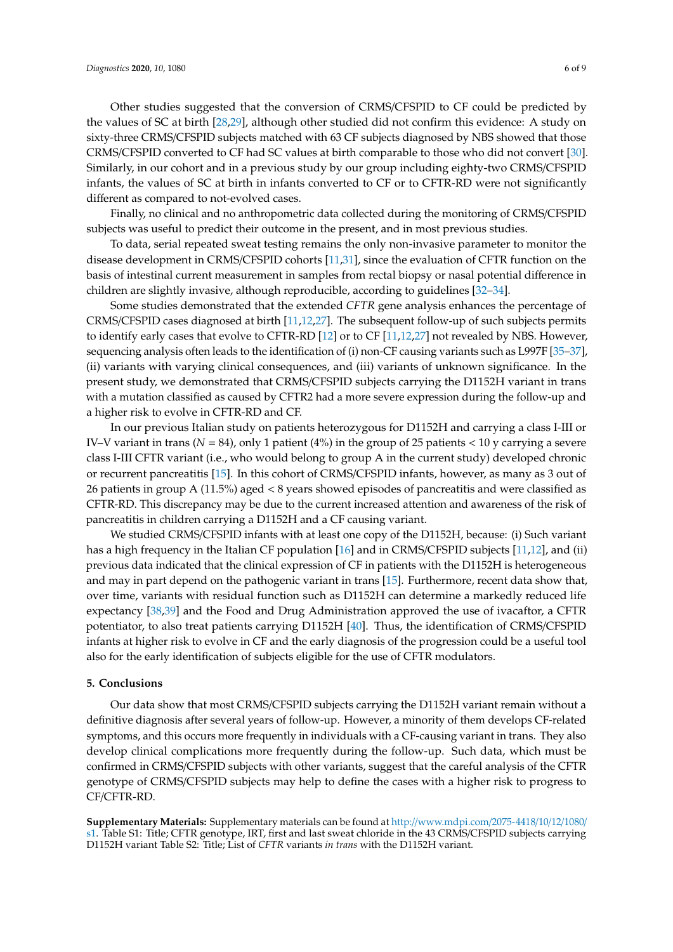Other studies suggested that the conversion of CRMS/CFSPID to CF could be predicted by the values of SC at birth [\[28](#page-7-16)[,29\]](#page-7-17), although other studied did not confirm this evidence: A study on sixty-three CRMS/CFSPID subjects matched with 63 CF subjects diagnosed by NBS showed that those CRMS/CFSPID converted to CF had SC values at birth comparable to those who did not convert [\[30\]](#page-8-0). Similarly, in our cohort and in a previous study by our group including eighty-two CRMS/CFSPID infants, the values of SC at birth in infants converted to CF or to CFTR-RD were not significantly different as compared to not-evolved cases.

Finally, no clinical and no anthropometric data collected during the monitoring of CRMS/CFSPID subjects was useful to predict their outcome in the present, and in most previous studies.

To data, serial repeated sweat testing remains the only non-invasive parameter to monitor the disease development in CRMS/CFSPID cohorts [\[11](#page-6-9)[,31\]](#page-8-1), since the evaluation of CFTR function on the basis of intestinal current measurement in samples from rectal biopsy or nasal potential difference in children are slightly invasive, although reproducible, according to guidelines [\[32–](#page-8-2)[34\]](#page-8-3).

Some studies demonstrated that the extended *CFTR* gene analysis enhances the percentage of CRMS/CFSPID cases diagnosed at birth [\[11,](#page-6-9)[12,](#page-7-0)[27\]](#page-7-15). The subsequent follow-up of such subjects permits to identify early cases that evolve to CFTR-RD [\[12\]](#page-7-0) or to CF [\[11](#page-6-9)[,12](#page-7-0)[,27\]](#page-7-15) not revealed by NBS. However, sequencing analysis often leads to the identification of (i) non-CF causing variants such as L997F [\[35](#page-8-4)[–37\]](#page-8-5), (ii) variants with varying clinical consequences, and (iii) variants of unknown significance. In the present study, we demonstrated that CRMS/CFSPID subjects carrying the D1152H variant in trans with a mutation classified as caused by CFTR2 had a more severe expression during the follow-up and a higher risk to evolve in CFTR-RD and CF.

In our previous Italian study on patients heterozygous for D1152H and carrying a class I-III or IV–V variant in trans  $(N = 84)$ , only 1 patient (4%) in the group of 25 patients  $< 10$  y carrying a severe class I-III CFTR variant (i.e., who would belong to group A in the current study) developed chronic or recurrent pancreatitis [\[15\]](#page-7-3). In this cohort of CRMS/CFSPID infants, however, as many as 3 out of 26 patients in group A (11.5%) aged < 8 years showed episodes of pancreatitis and were classified as CFTR-RD. This discrepancy may be due to the current increased attention and awareness of the risk of pancreatitis in children carrying a D1152H and a CF causing variant.

We studied CRMS/CFSPID infants with at least one copy of the D1152H, because: (i) Such variant has a high frequency in the Italian CF population [\[16\]](#page-7-4) and in CRMS/CFSPID subjects [\[11](#page-6-9)[,12\]](#page-7-0), and (ii) previous data indicated that the clinical expression of CF in patients with the D1152H is heterogeneous and may in part depend on the pathogenic variant in trans [\[15\]](#page-7-3). Furthermore, recent data show that, over time, variants with residual function such as D1152H can determine a markedly reduced life expectancy [\[38,](#page-8-6)[39\]](#page-8-7) and the Food and Drug Administration approved the use of ivacaftor, a CFTR potentiator, to also treat patients carrying D1152H [\[40\]](#page-8-8). Thus, the identification of CRMS/CFSPID infants at higher risk to evolve in CF and the early diagnosis of the progression could be a useful tool also for the early identification of subjects eligible for the use of CFTR modulators.

#### **5. Conclusions**

Our data show that most CRMS/CFSPID subjects carrying the D1152H variant remain without a definitive diagnosis after several years of follow-up. However, a minority of them develops CF-related symptoms, and this occurs more frequently in individuals with a CF-causing variant in trans. They also develop clinical complications more frequently during the follow-up. Such data, which must be confirmed in CRMS/CFSPID subjects with other variants, suggest that the careful analysis of the CFTR genotype of CRMS/CFSPID subjects may help to define the cases with a higher risk to progress to CF/CFTR-RD.

**Supplementary Materials:** Supplementary materials can be found at http://[www.mdpi.com](http://www.mdpi.com/2075-4418/10/12/1080/s1)/2075-4418/10/12/1080/ [s1.](http://www.mdpi.com/2075-4418/10/12/1080/s1) Table S1: Title; CFTR genotype, IRT, first and last sweat chloride in the 43 CRMS/CFSPID subjects carrying D1152H variant Table S2: Title; List of *CFTR* variants *in trans* with the D1152H variant.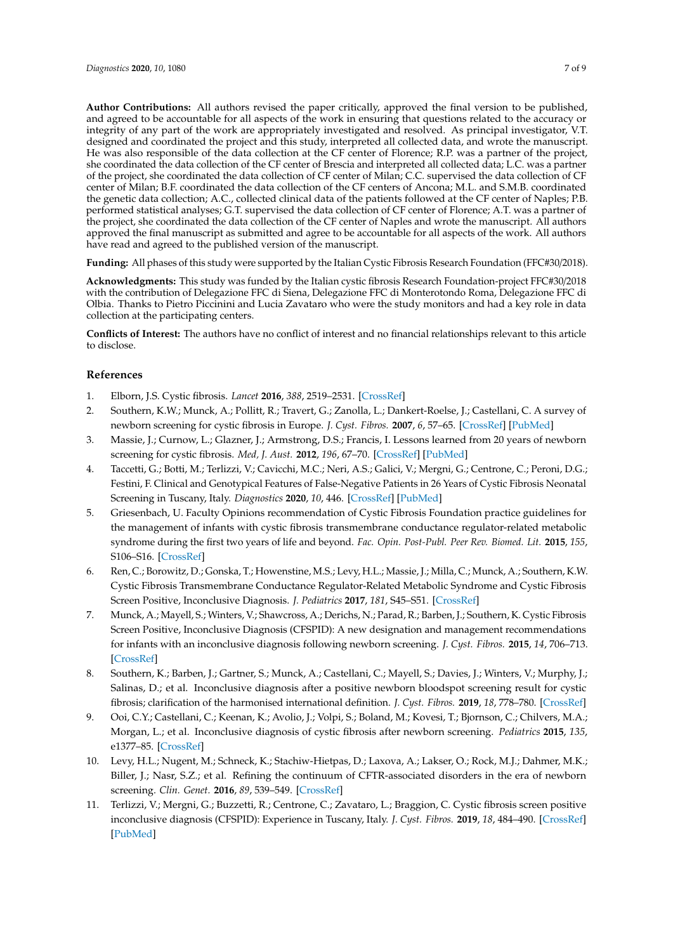**Author Contributions:** All authors revised the paper critically, approved the final version to be published, and agreed to be accountable for all aspects of the work in ensuring that questions related to the accuracy or integrity of any part of the work are appropriately investigated and resolved. As principal investigator, V.T. designed and coordinated the project and this study, interpreted all collected data, and wrote the manuscript. He was also responsible of the data collection at the CF center of Florence; R.P. was a partner of the project, she coordinated the data collection of the CF center of Brescia and interpreted all collected data; L.C. was a partner of the project, she coordinated the data collection of CF center of Milan; C.C. supervised the data collection of CF center of Milan; B.F. coordinated the data collection of the CF centers of Ancona; M.L. and S.M.B. coordinated the genetic data collection; A.C., collected clinical data of the patients followed at the CF center of Naples; P.B. performed statistical analyses; G.T. supervised the data collection of CF center of Florence; A.T. was a partner of the project, she coordinated the data collection of the CF center of Naples and wrote the manuscript. All authors approved the final manuscript as submitted and agree to be accountable for all aspects of the work. All authors have read and agreed to the published version of the manuscript.

**Funding:** All phases of this study were supported by the Italian Cystic Fibrosis Research Foundation (FFC#30/2018).

**Acknowledgments:** This study was funded by the Italian cystic fibrosis Research Foundation-project FFC#30/2018 with the contribution of Delegazione FFC di Siena, Delegazione FFC di Monterotondo Roma, Delegazione FFC di Olbia. Thanks to Pietro Piccinini and Lucia Zavataro who were the study monitors and had a key role in data collection at the participating centers.

**Conflicts of Interest:** The authors have no conflict of interest and no financial relationships relevant to this article to disclose.

## **References**

- <span id="page-6-0"></span>1. Elborn, J.S. Cystic fibrosis. *Lancet* **2016**, *388*, 2519–2531. [\[CrossRef\]](http://dx.doi.org/10.1016/S0140-6736(16)00576-6)
- <span id="page-6-1"></span>2. Southern, K.W.; Munck, A.; Pollitt, R.; Travert, G.; Zanolla, L.; Dankert-Roelse, J.; Castellani, C. A survey of newborn screening for cystic fibrosis in Europe. *J. Cyst. Fibros.* **2007**, *6*, 57–65. [\[CrossRef\]](http://dx.doi.org/10.1016/j.jcf.2006.05.008) [\[PubMed\]](http://www.ncbi.nlm.nih.gov/pubmed/16870510)
- <span id="page-6-2"></span>3. Massie, J.; Curnow, L.; Glazner, J.; Armstrong, D.S.; Francis, I. Lessons learned from 20 years of newborn screening for cystic fibrosis. *Med, J. Aust.* **2012**, *196*, 67–70. [\[CrossRef\]](http://dx.doi.org/10.5694/mja11.10686) [\[PubMed\]](http://www.ncbi.nlm.nih.gov/pubmed/22256939)
- <span id="page-6-3"></span>4. Taccetti, G.; Botti, M.; Terlizzi, V.; Cavicchi, M.C.; Neri, A.S.; Galici, V.; Mergni, G.; Centrone, C.; Peroni, D.G.; Festini, F. Clinical and Genotypical Features of False-Negative Patients in 26 Years of Cystic Fibrosis Neonatal Screening in Tuscany, Italy. *Diagnostics* **2020**, *10*, 446. [\[CrossRef\]](http://dx.doi.org/10.3390/diagnostics10070446) [\[PubMed\]](http://www.ncbi.nlm.nih.gov/pubmed/32630227)
- <span id="page-6-4"></span>5. Griesenbach, U. Faculty Opinions recommendation of Cystic Fibrosis Foundation practice guidelines for the management of infants with cystic fibrosis transmembrane conductance regulator-related metabolic syndrome during the first two years of life and beyond. *Fac. Opin. Post-Publ. Peer Rev. Biomed. Lit.* **2015**, *155*, S106–S16. [\[CrossRef\]](http://dx.doi.org/10.3410/f.724904901.793506139)
- <span id="page-6-5"></span>6. Ren, C.; Borowitz, D.; Gonska, T.; Howenstine, M.S.; Levy, H.L.; Massie, J.; Milla, C.; Munck, A.; Southern, K.W. Cystic Fibrosis Transmembrane Conductance Regulator-Related Metabolic Syndrome and Cystic Fibrosis Screen Positive, Inconclusive Diagnosis. *J. Pediatrics* **2017**, *181*, S45–S51. [\[CrossRef\]](http://dx.doi.org/10.1016/j.jpeds.2016.09.066)
- <span id="page-6-6"></span>7. Munck, A.; Mayell, S.; Winters, V.; Shawcross, A.; Derichs, N.; Parad, R.; Barben, J.; Southern, K. Cystic Fibrosis Screen Positive, Inconclusive Diagnosis (CFSPID): A new designation and management recommendations for infants with an inconclusive diagnosis following newborn screening. *J. Cyst. Fibros.* **2015**, *14*, 706–713. [\[CrossRef\]](http://dx.doi.org/10.1016/j.jcf.2015.01.001)
- <span id="page-6-7"></span>8. Southern, K.; Barben, J.; Gartner, S.; Munck, A.; Castellani, C.; Mayell, S.; Davies, J.; Winters, V.; Murphy, J.; Salinas, D.; et al. Inconclusive diagnosis after a positive newborn bloodspot screening result for cystic fibrosis; clarification of the harmonised international definition. *J. Cyst. Fibros.* **2019**, *18*, 778–780. [\[CrossRef\]](http://dx.doi.org/10.1016/j.jcf.2019.04.010)
- <span id="page-6-8"></span>9. Ooi, C.Y.; Castellani, C.; Keenan, K.; Avolio, J.; Volpi, S.; Boland, M.; Kovesi, T.; Bjornson, C.; Chilvers, M.A.; Morgan, L.; et al. Inconclusive diagnosis of cystic fibrosis after newborn screening. *Pediatrics* **2015**, *135*, e1377–85. [\[CrossRef\]](http://dx.doi.org/10.1542/peds.2014-2081)
- 10. Levy, H.L.; Nugent, M.; Schneck, K.; Stachiw-Hietpas, D.; Laxova, A.; Lakser, O.; Rock, M.J.; Dahmer, M.K.; Biller, J.; Nasr, S.Z.; et al. Refining the continuum of CFTR-associated disorders in the era of newborn screening. *Clin. Genet.* **2016**, *89*, 539–549. [\[CrossRef\]](http://dx.doi.org/10.1111/cge.12711)
- <span id="page-6-9"></span>11. Terlizzi, V.; Mergni, G.; Buzzetti, R.; Centrone, C.; Zavataro, L.; Braggion, C. Cystic fibrosis screen positive inconclusive diagnosis (CFSPID): Experience in Tuscany, Italy. *J. Cyst. Fibros.* **2019**, *18*, 484–490. [\[CrossRef\]](http://dx.doi.org/10.1016/j.jcf.2019.04.002) [\[PubMed\]](http://www.ncbi.nlm.nih.gov/pubmed/31005549)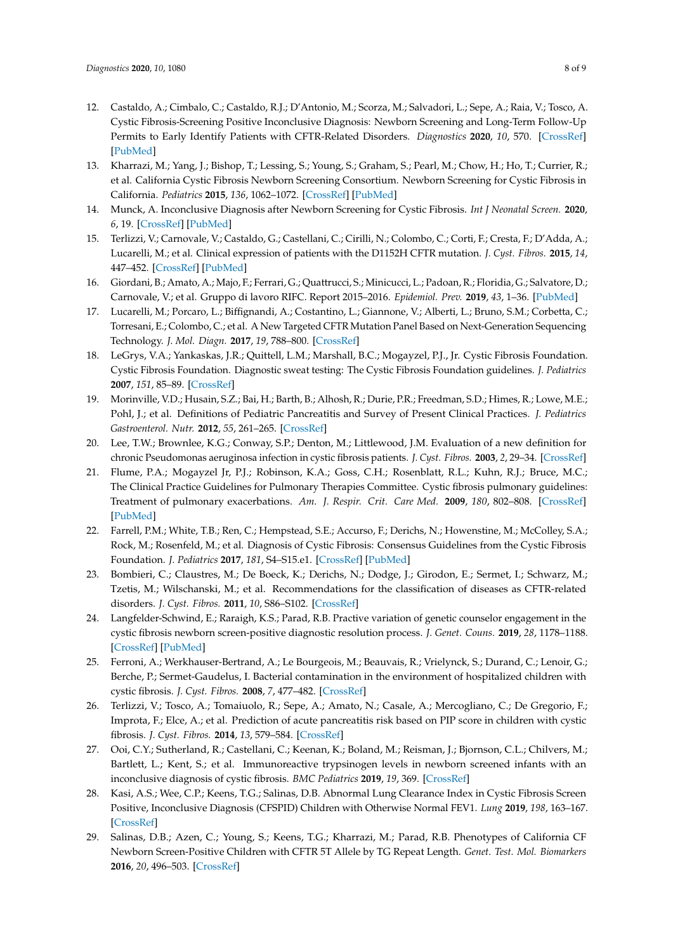- <span id="page-7-0"></span>12. Castaldo, A.; Cimbalo, C.; Castaldo, R.J.; D'Antonio, M.; Scorza, M.; Salvadori, L.; Sepe, A.; Raia, V.; Tosco, A. Cystic Fibrosis-Screening Positive Inconclusive Diagnosis: Newborn Screening and Long-Term Follow-Up Permits to Early Identify Patients with CFTR-Related Disorders. *Diagnostics* **2020**, *10*, 570. [\[CrossRef\]](http://dx.doi.org/10.3390/diagnostics10080570) [\[PubMed\]](http://www.ncbi.nlm.nih.gov/pubmed/32784480)
- <span id="page-7-1"></span>13. Kharrazi, M.; Yang, J.; Bishop, T.; Lessing, S.; Young, S.; Graham, S.; Pearl, M.; Chow, H.; Ho, T.; Currier, R.; et al. California Cystic Fibrosis Newborn Screening Consortium. Newborn Screening for Cystic Fibrosis in California. *Pediatrics* **2015**, *136*, 1062–1072. [\[CrossRef\]](http://dx.doi.org/10.1542/peds.2015-0811) [\[PubMed\]](http://www.ncbi.nlm.nih.gov/pubmed/26574590)
- <span id="page-7-2"></span>14. Munck, A. Inconclusive Diagnosis after Newborn Screening for Cystic Fibrosis. *Int J Neonatal Screen.* **2020**, *6*, 19. [\[CrossRef\]](http://dx.doi.org/10.3390/ijns6010019) [\[PubMed\]](http://www.ncbi.nlm.nih.gov/pubmed/33073016)
- <span id="page-7-3"></span>15. Terlizzi, V.; Carnovale, V.; Castaldo, G.; Castellani, C.; Cirilli, N.; Colombo, C.; Corti, F.; Cresta, F.; D'Adda, A.; Lucarelli, M.; et al. Clinical expression of patients with the D1152H CFTR mutation. *J. Cyst. Fibros.* **2015**, *14*, 447–452. [\[CrossRef\]](http://dx.doi.org/10.1016/j.jcf.2014.12.012) [\[PubMed\]](http://www.ncbi.nlm.nih.gov/pubmed/25583415)
- <span id="page-7-4"></span>16. Giordani, B.; Amato, A.; Majo, F.; Ferrari, G.; Quattrucci, S.; Minicucci, L.; Padoan, R.; Floridia, G.; Salvatore, D.; Carnovale, V.; et al. Gruppo di lavoro RIFC. Report 2015–2016. *Epidemiol. Prev.* **2019**, *43*, 1–36. [\[PubMed\]](http://www.ncbi.nlm.nih.gov/pubmed/31370382)
- <span id="page-7-5"></span>17. Lucarelli, M.; Porcaro, L.; Biffignandi, A.; Costantino, L.; Giannone, V.; Alberti, L.; Bruno, S.M.; Corbetta, C.; Torresani, E.; Colombo, C.; et al. A New Targeted CFTR Mutation Panel Based on Next-Generation Sequencing Technology. *J. Mol. Diagn.* **2017**, *19*, 788–800. [\[CrossRef\]](http://dx.doi.org/10.1016/j.jmoldx.2017.06.002)
- <span id="page-7-6"></span>18. LeGrys, V.A.; Yankaskas, J.R.; Quittell, L.M.; Marshall, B.C.; Mogayzel, P.J., Jr. Cystic Fibrosis Foundation. Cystic Fibrosis Foundation. Diagnostic sweat testing: The Cystic Fibrosis Foundation guidelines. *J. Pediatrics* **2007**, *151*, 85–89. [\[CrossRef\]](http://dx.doi.org/10.1016/j.jpeds.2007.03.002)
- <span id="page-7-7"></span>19. Morinville, V.D.; Husain, S.Z.; Bai, H.; Barth, B.; Alhosh, R.; Durie, P.R.; Freedman, S.D.; Himes, R.; Lowe, M.E.; Pohl, J.; et al. Definitions of Pediatric Pancreatitis and Survey of Present Clinical Practices. *J. Pediatrics Gastroenterol. Nutr.* **2012**, *55*, 261–265. [\[CrossRef\]](http://dx.doi.org/10.1097/MPG.0b013e31824f1516)
- <span id="page-7-8"></span>20. Lee, T.W.; Brownlee, K.G.; Conway, S.P.; Denton, M.; Littlewood, J.M. Evaluation of a new definition for chronic Pseudomonas aeruginosa infection in cystic fibrosis patients. *J. Cyst. Fibros.* **2003**, *2*, 29–34. [\[CrossRef\]](http://dx.doi.org/10.1016/S1569-1993(02)00141-8)
- <span id="page-7-9"></span>21. Flume, P.A.; Mogayzel Jr, P.J.; Robinson, K.A.; Goss, C.H.; Rosenblatt, R.L.; Kuhn, R.J.; Bruce, M.C.; The Clinical Practice Guidelines for Pulmonary Therapies Committee. Cystic fibrosis pulmonary guidelines: Treatment of pulmonary exacerbations. *Am. J. Respir. Crit. Care Med.* **2009**, *180*, 802–808. [\[CrossRef\]](http://dx.doi.org/10.1164/rccm.200812-1845PP) [\[PubMed\]](http://www.ncbi.nlm.nih.gov/pubmed/19729669)
- <span id="page-7-10"></span>22. Farrell, P.M.; White, T.B.; Ren, C.; Hempstead, S.E.; Accurso, F.; Derichs, N.; Howenstine, M.; McColley, S.A.; Rock, M.; Rosenfeld, M.; et al. Diagnosis of Cystic Fibrosis: Consensus Guidelines from the Cystic Fibrosis Foundation. *J. Pediatrics* **2017**, *181*, S4–S15.e1. [\[CrossRef\]](http://dx.doi.org/10.1016/j.jpeds.2016.09.064) [\[PubMed\]](http://www.ncbi.nlm.nih.gov/pubmed/28129811)
- <span id="page-7-11"></span>23. Bombieri, C.; Claustres, M.; De Boeck, K.; Derichs, N.; Dodge, J.; Girodon, E.; Sermet, I.; Schwarz, M.; Tzetis, M.; Wilschanski, M.; et al. Recommendations for the classification of diseases as CFTR-related disorders. *J. Cyst. Fibros.* **2011**, *10*, S86–S102. [\[CrossRef\]](http://dx.doi.org/10.1016/S1569-1993(11)60014-3)
- <span id="page-7-12"></span>24. Langfelder-Schwind, E.; Raraigh, K.S.; Parad, R.B. Practive variation of genetic counselor engagement in the cystic fibrosis newborn screen-positive diagnostic resolution process. *J. Genet. Couns.* **2019**, *28*, 1178–1188. [\[CrossRef\]](http://dx.doi.org/10.1002/jgc4.1170) [\[PubMed\]](http://www.ncbi.nlm.nih.gov/pubmed/31550062)
- <span id="page-7-13"></span>25. Ferroni, A.; Werkhauser-Bertrand, A.; Le Bourgeois, M.; Beauvais, R.; Vrielynck, S.; Durand, C.; Lenoir, G.; Berche, P.; Sermet-Gaudelus, I. Bacterial contamination in the environment of hospitalized children with cystic fibrosis. *J. Cyst. Fibros.* **2008**, *7*, 477–482. [\[CrossRef\]](http://dx.doi.org/10.1016/j.jcf.2008.05.001)
- <span id="page-7-14"></span>26. Terlizzi, V.; Tosco, A.; Tomaiuolo, R.; Sepe, A.; Amato, N.; Casale, A.; Mercogliano, C.; De Gregorio, F.; Improta, F.; Elce, A.; et al. Prediction of acute pancreatitis risk based on PIP score in children with cystic fibrosis. *J. Cyst. Fibros.* **2014**, *13*, 579–584. [\[CrossRef\]](http://dx.doi.org/10.1016/j.jcf.2014.01.007)
- <span id="page-7-15"></span>27. Ooi, C.Y.; Sutherland, R.; Castellani, C.; Keenan, K.; Boland, M.; Reisman, J.; Bjornson, C.L.; Chilvers, M.; Bartlett, L.; Kent, S.; et al. Immunoreactive trypsinogen levels in newborn screened infants with an inconclusive diagnosis of cystic fibrosis. *BMC Pediatrics* **2019**, *19*, 369. [\[CrossRef\]](http://dx.doi.org/10.1186/s12887-019-1756-4)
- <span id="page-7-16"></span>28. Kasi, A.S.; Wee, C.P.; Keens, T.G.; Salinas, D.B. Abnormal Lung Clearance Index in Cystic Fibrosis Screen Positive, Inconclusive Diagnosis (CFSPID) Children with Otherwise Normal FEV1. *Lung* **2019**, *198*, 163–167. [\[CrossRef\]](http://dx.doi.org/10.1007/s00408-019-00307-3)
- <span id="page-7-17"></span>29. Salinas, D.B.; Azen, C.; Young, S.; Keens, T.G.; Kharrazi, M.; Parad, R.B. Phenotypes of California CF Newborn Screen-Positive Children with CFTR 5T Allele by TG Repeat Length. *Genet. Test. Mol. Biomarkers* **2016**, *20*, 496–503. [\[CrossRef\]](http://dx.doi.org/10.1089/gtmb.2016.0102)